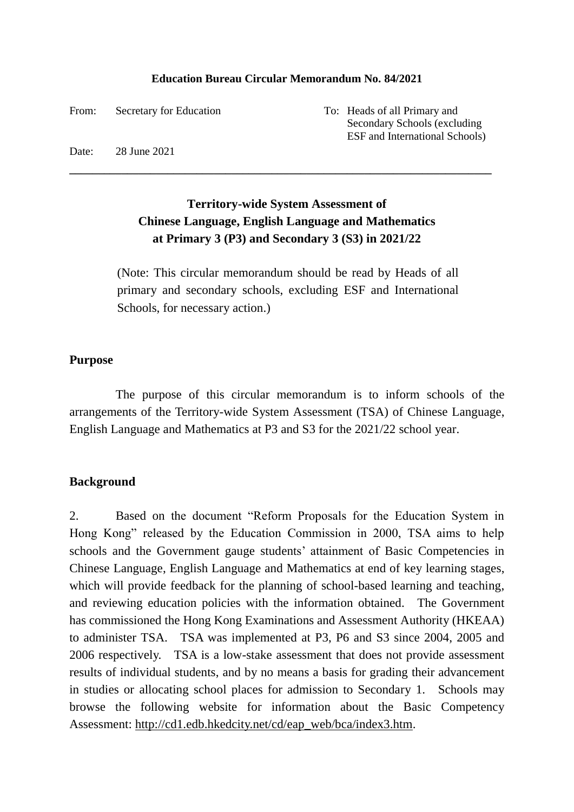#### **Education Bureau Circular Memorandum No. 84/2021**

From: Secretary for Education To: Heads of all Primary and

Secondary Schools (excluding ESF and International Schools)

Date: 28 June 2021

# **Territory-wide System Assessment of Chinese Language, English Language and Mathematics at Primary 3 (P3) and Secondary 3 (S3) in 2021/22**

**\_\_\_\_\_\_\_\_\_\_\_\_\_\_\_\_\_\_\_\_\_\_\_\_\_\_\_\_\_\_\_\_\_\_\_\_\_\_\_\_\_\_\_\_\_\_\_\_\_\_\_\_\_\_\_\_\_\_\_\_\_\_\_\_\_\_\_\_\_\_\_\_\_**

(Note: This circular memorandum should be read by Heads of all primary and secondary schools, excluding ESF and International Schools, for necessary action.)

#### **Purpose**

The purpose of this circular memorandum is to inform schools of the arrangements of the Territory-wide System Assessment (TSA) of Chinese Language, English Language and Mathematics at P3 and S3 for the 2021/22 school year.

### **Background**

2. Based on the document "Reform Proposals for the Education System in Hong Kong" released by the Education Commission in 2000, TSA aims to help schools and the Government gauge students' attainment of Basic Competencies in Chinese Language, English Language and Mathematics at end of key learning stages, which will provide feedback for the planning of school-based learning and teaching, and reviewing education policies with the information obtained. The Government has commissioned the Hong Kong Examinations and Assessment Authority (HKEAA) to administer TSA. TSA was implemented at P3, P6 and S3 since 2004, 2005 and 2006 respectively. TSA is a low-stake assessment that does not provide assessment results of individual students, and by no means a basis for grading their advancement in studies or allocating school places for admission to Secondary 1. Schools may browse the following website for information about the Basic Competency Assessment: [http://cd1.edb.hkedcity.net/cd/eap\\_web/bca/index3.htm.](http://cd1.edb.hkedcity.net/cd/eap_web/bca/index3.htm)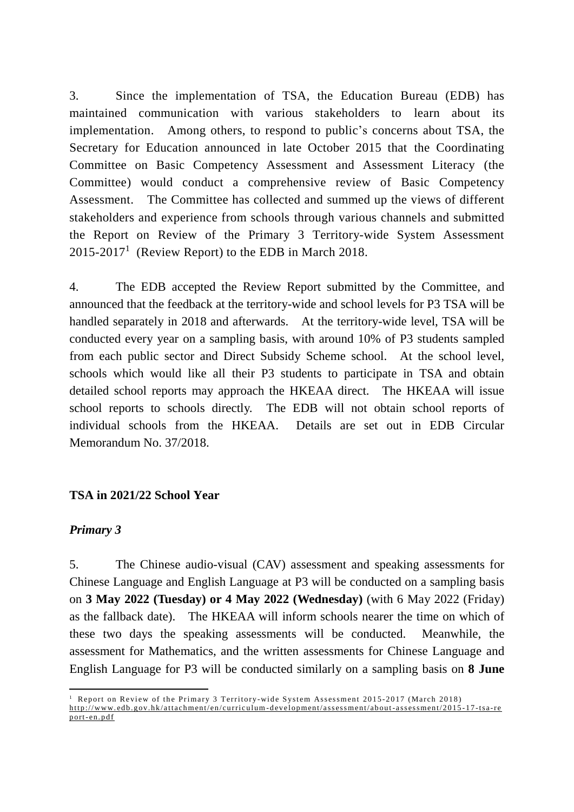3. Since the implementation of TSA, the Education Bureau (EDB) has maintained communication with various stakeholders to learn about its implementation. Among others, to respond to public's concerns about TSA, the Secretary for Education announced in late October 2015 that the Coordinating Committee on Basic Competency Assessment and Assessment Literacy (the Committee) would conduct a comprehensive review of Basic Competency Assessment. The Committee has collected and summed up the views of different stakeholders and experience from schools through various channels and submitted the Report on Review of the Primary 3 Territory-wide System Assessment  $2015-2017<sup>1</sup>$  (Review Report) to the EDB in March 2018.

4. The EDB accepted the Review Report submitted by the Committee, and announced that the feedback at the territory-wide and school levels for P3 TSA will be handled separately in 2018 and afterwards. At the territory-wide level, TSA will be conducted every year on a sampling basis, with around 10% of P3 students sampled from each public sector and Direct Subsidy Scheme school. At the school level, schools which would like all their P3 students to participate in TSA and obtain detailed school reports may approach the HKEAA direct. The HKEAA will issue school reports to schools directly. The EDB will not obtain school reports of individual schools from the HKEAA. Details are set out in EDB Circular Memorandum No. 37/2018.

### **TSA in 2021/22 School Year**

### *Primary 3*

-

5. The Chinese audio-visual (CAV) assessment and speaking assessments for Chinese Language and English Language at P3 will be conducted on a sampling basis on **3 May 2022 (Tuesday) or 4 May 2022 (Wednesday)** (with 6 May 2022 (Friday) as the fallback date). The HKEAA will inform schools nearer the time on which of these two days the speaking assessments will be conducted. Meanwhile, the assessment for Mathematics, and the written assessments for Chinese Language and English Language for P3 will be conducted similarly on a sampling basis on **8 June** 

 $1$  Report on Review of the Primary 3 Territory-wide System Assessment 2015-2017 (March 2018) http://www.edb.gov.hk/attachment/en/curriculum-development/assessment/about-assessment/2015-17-tsa-re port-en.pdf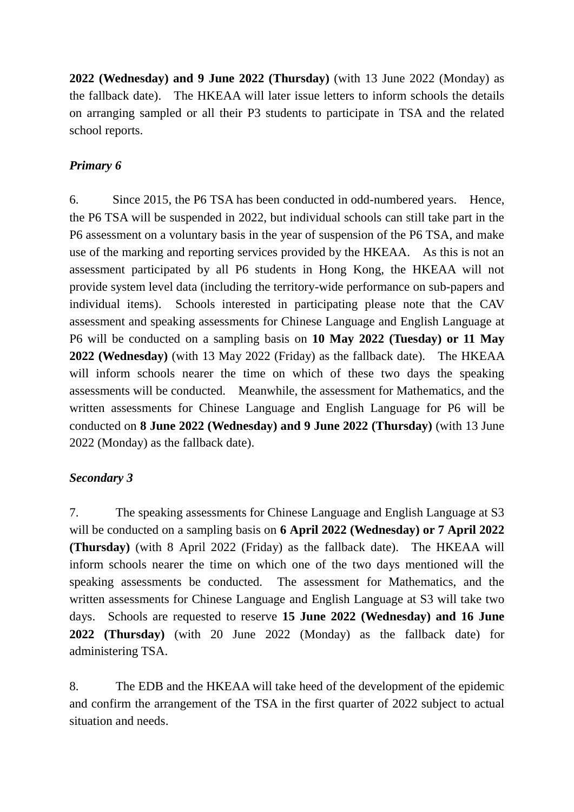**2022 (Wednesday) and 9 June 2022 (Thursday)** (with 13 June 2022 (Monday) as the fallback date). The HKEAA will later issue letters to inform schools the details on arranging sampled or all their P3 students to participate in TSA and the related school reports.

## *Primary 6*

6. Since 2015, the P6 TSA has been conducted in odd-numbered years. Hence, the P6 TSA will be suspended in 2022, but individual schools can still take part in the P6 assessment on a voluntary basis in the year of suspension of the P6 TSA, and make use of the marking and reporting services provided by the HKEAA. As this is not an assessment participated by all P6 students in Hong Kong, the HKEAA will not provide system level data (including the territory-wide performance on sub-papers and individual items). Schools interested in participating please note that the CAV assessment and speaking assessments for Chinese Language and English Language at P6 will be conducted on a sampling basis on **10 May 2022 (Tuesday) or 11 May 2022 (Wednesday)** (with 13 May 2022 (Friday) as the fallback date). The HKEAA will inform schools nearer the time on which of these two days the speaking assessments will be conducted. Meanwhile, the assessment for Mathematics, and the written assessments for Chinese Language and English Language for P6 will be conducted on **8 June 2022 (Wednesday) and 9 June 2022 (Thursday)** (with 13 June 2022 (Monday) as the fallback date).

### *Secondary 3*

7. The speaking assessments for Chinese Language and English Language at S3 will be conducted on a sampling basis on **6 April 2022 (Wednesday) or 7 April 2022 (Thursday)** (with 8 April 2022 (Friday) as the fallback date). The HKEAA will inform schools nearer the time on which one of the two days mentioned will the speaking assessments be conducted. The assessment for Mathematics, and the written assessments for Chinese Language and English Language at S3 will take two days. Schools are requested to reserve **15 June 2022 (Wednesday) and 16 June 2022 (Thursday)** (with 20 June 2022 (Monday) as the fallback date) for administering TSA.

8. The EDB and the HKEAA will take heed of the development of the epidemic and confirm the arrangement of the TSA in the first quarter of 2022 subject to actual situation and needs.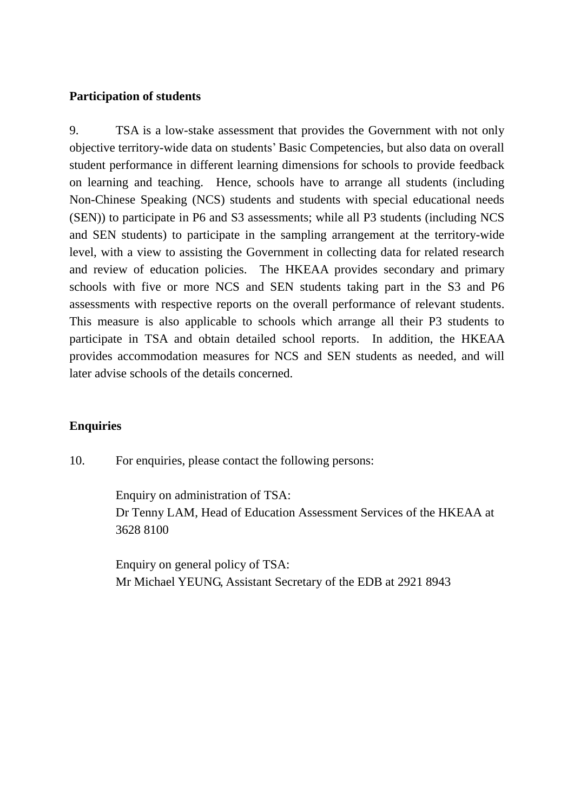### **Participation of students**

9. TSA is a low-stake assessment that provides the Government with not only objective territory-wide data on students' Basic Competencies, but also data on overall student performance in different learning dimensions for schools to provide feedback on learning and teaching. Hence, schools have to arrange all students (including Non-Chinese Speaking (NCS) students and students with special educational needs (SEN)) to participate in P6 and S3 assessments; while all P3 students (including NCS and SEN students) to participate in the sampling arrangement at the territory-wide level, with a view to assisting the Government in collecting data for related research and review of education policies. The HKEAA provides secondary and primary schools with five or more NCS and SEN students taking part in the S3 and P6 assessments with respective reports on the overall performance of relevant students. This measure is also applicable to schools which arrange all their P3 students to participate in TSA and obtain detailed school reports. In addition, the HKEAA provides accommodation measures for NCS and SEN students as needed, and will later advise schools of the details concerned.

### **Enquiries**

10. For enquiries, please contact the following persons:

Enquiry on administration of TSA: Dr Tenny LAM, Head of Education Assessment Services of the HKEAA at 3628 8100

Enquiry on general policy of TSA: Mr Michael YEUNG, Assistant Secretary of the EDB at 2921 8943